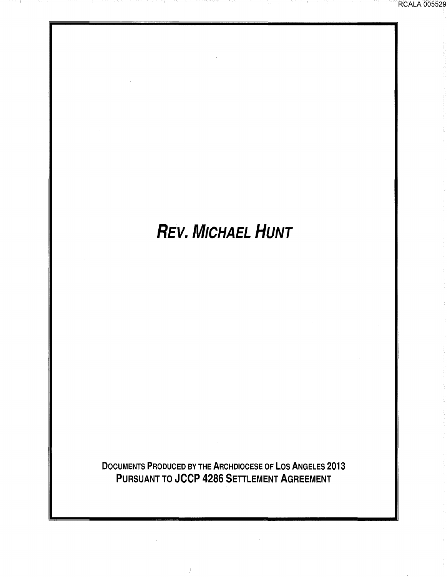# REV. MICHAEL *HUNT*

DOCUMENTS PRODUCED BY THE ARCHDIOCESE OF LOS ANGELES 2013 PURSUANT TO JCCP 4286 SETTLEMENT AGREEMENT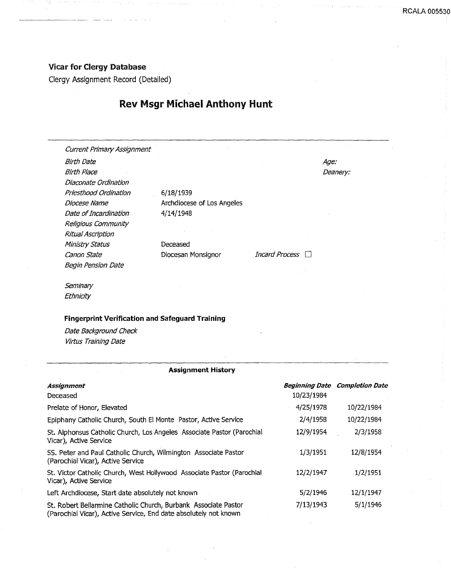#### Vicar for Clergy Database

Clergy Assignment Record (Detailed)

## Rev Msgr Michael Anthony Hunt

Current Primary Assignment Birth Date Birth Place Diaconate Ordination Priesthood Ordination Diocese Name Date of Incardination Religious Community Ritual Ascription Ministry Status Canon State **Diocesan Monsignor** Incard Process  $\Box$ Begin Pension Date

6/18/1939 Archdiocese of Los Angeles 4/14/1948 Deceased

Age: Deanery:

**Seminary Ethnicity** 

#### Fingerprint Verification and Safeguard Training

Date Background Check Virtus Training Date

| <b>Assignment History</b>                                                                                                           |            |                                       |
|-------------------------------------------------------------------------------------------------------------------------------------|------------|---------------------------------------|
| Assignment                                                                                                                          |            | <b>Beginning Date Completion Date</b> |
| Deceased                                                                                                                            | 10/23/1984 |                                       |
| Prelate of Honor, Elevated                                                                                                          | 4/25/1978  | 10/22/1984                            |
| Epiphany Catholic Church, South El Monte Pastor, Active Service                                                                     | 2/4/1958   | 10/22/1984                            |
| St. Alphonsus Catholic Church, Los Angeles Associate Pastor (Parochial<br>Vicar), Active Service                                    | 12/9/1954  | 2/3/1958                              |
| SS. Peter and Paul Catholic Church, Wilmington Associate Pastor<br>(Parochial Vicar), Active Service                                | 1/3/1951   | 12/8/1954                             |
| St. Victor Catholic Church, West Hollywood Associate Pastor (Parochial<br>Vicar), Active Service                                    | 12/2/1947  | 1/2/1951                              |
| Left Archdiocese, Start date absolutely not known                                                                                   | 5/2/1946   | 12/1/1947                             |
| St. Robert Bellarmine Catholic Church, Burbank Associate Pastor<br>(Parochial Vicar), Active Service, End date absolutely not known | 7/13/1943  | 5/1/1946                              |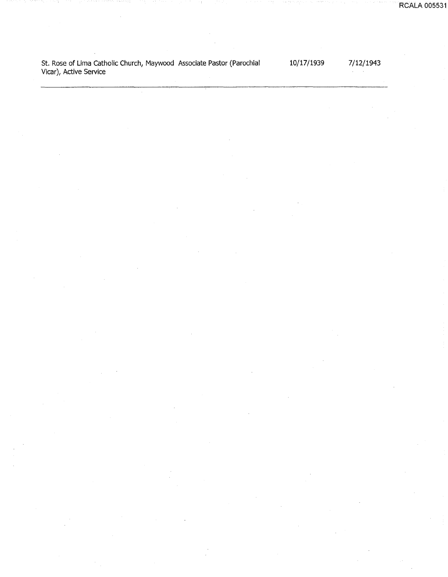St. Rose of Lima Catholic Church, Maywood Associate Pastor (Parochial Vicar), Active Service

10/17/1939

7/12/1943  $\Delta\phi=0.001$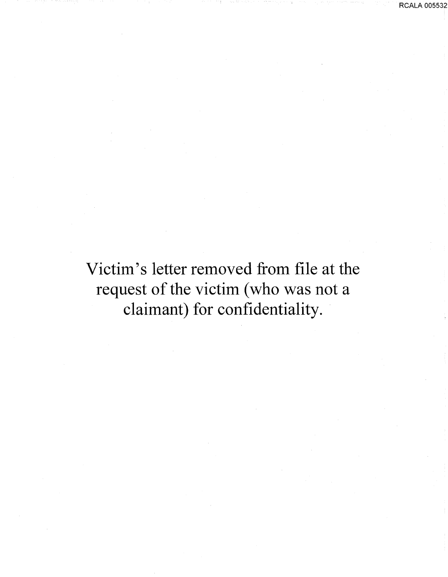Victim's letter removed from file at the request of the victim (who was not a claimant) for confidentiality.

RCALA 005532